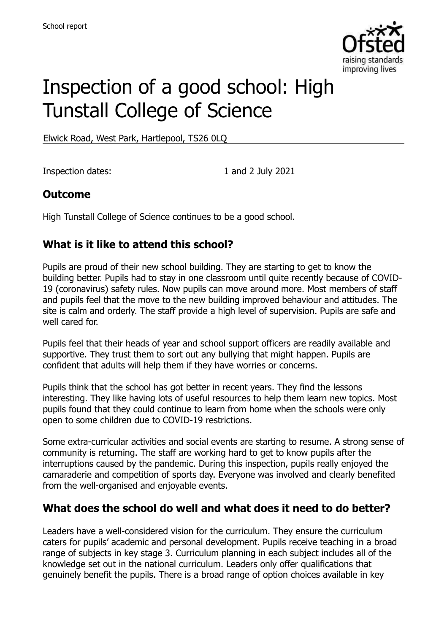

# Inspection of a good school: High Tunstall College of Science

Elwick Road, West Park, Hartlepool, TS26 0LQ

Inspection dates: 1 and 2 July 2021

#### **Outcome**

High Tunstall College of Science continues to be a good school.

#### **What is it like to attend this school?**

Pupils are proud of their new school building. They are starting to get to know the building better. Pupils had to stay in one classroom until quite recently because of COVID-19 (coronavirus) safety rules. Now pupils can move around more. Most members of staff and pupils feel that the move to the new building improved behaviour and attitudes. The site is calm and orderly. The staff provide a high level of supervision. Pupils are safe and well cared for.

Pupils feel that their heads of year and school support officers are readily available and supportive. They trust them to sort out any bullying that might happen. Pupils are confident that adults will help them if they have worries or concerns.

Pupils think that the school has got better in recent years. They find the lessons interesting. They like having lots of useful resources to help them learn new topics. Most pupils found that they could continue to learn from home when the schools were only open to some children due to COVID-19 restrictions.

Some extra-curricular activities and social events are starting to resume. A strong sense of community is returning. The staff are working hard to get to know pupils after the interruptions caused by the pandemic. During this inspection, pupils really enjoyed the camaraderie and competition of sports day. Everyone was involved and clearly benefited from the well-organised and enjoyable events.

#### **What does the school do well and what does it need to do better?**

Leaders have a well-considered vision for the curriculum. They ensure the curriculum caters for pupils' academic and personal development. Pupils receive teaching in a broad range of subjects in key stage 3. Curriculum planning in each subject includes all of the knowledge set out in the national curriculum. Leaders only offer qualifications that genuinely benefit the pupils. There is a broad range of option choices available in key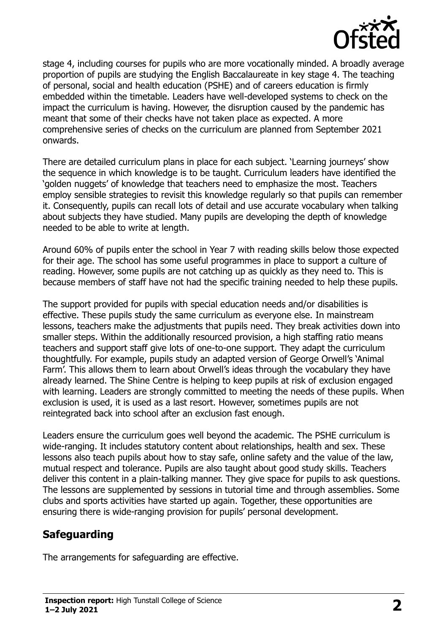

stage 4, including courses for pupils who are more vocationally minded. A broadly average proportion of pupils are studying the English Baccalaureate in key stage 4. The teaching of personal, social and health education (PSHE) and of careers education is firmly embedded within the timetable. Leaders have well-developed systems to check on the impact the curriculum is having. However, the disruption caused by the pandemic has meant that some of their checks have not taken place as expected. A more comprehensive series of checks on the curriculum are planned from September 2021 onwards.

There are detailed curriculum plans in place for each subject. 'Learning journeys' show the sequence in which knowledge is to be taught. Curriculum leaders have identified the 'golden nuggets' of knowledge that teachers need to emphasize the most. Teachers employ sensible strategies to revisit this knowledge regularly so that pupils can remember it. Consequently, pupils can recall lots of detail and use accurate vocabulary when talking about subjects they have studied. Many pupils are developing the depth of knowledge needed to be able to write at length.

Around 60% of pupils enter the school in Year 7 with reading skills below those expected for their age. The school has some useful programmes in place to support a culture of reading. However, some pupils are not catching up as quickly as they need to. This is because members of staff have not had the specific training needed to help these pupils.

The support provided for pupils with special education needs and/or disabilities is effective. These pupils study the same curriculum as everyone else. In mainstream lessons, teachers make the adjustments that pupils need. They break activities down into smaller steps. Within the additionally resourced provision, a high staffing ratio means teachers and support staff give lots of one-to-one support. They adapt the curriculum thoughtfully. For example, pupils study an adapted version of George Orwell's 'Animal Farm'. This allows them to learn about Orwell's ideas through the vocabulary they have already learned. The Shine Centre is helping to keep pupils at risk of exclusion engaged with learning. Leaders are strongly committed to meeting the needs of these pupils. When exclusion is used, it is used as a last resort. However, sometimes pupils are not reintegrated back into school after an exclusion fast enough.

Leaders ensure the curriculum goes well beyond the academic. The PSHE curriculum is wide-ranging. It includes statutory content about relationships, health and sex. These lessons also teach pupils about how to stay safe, online safety and the value of the law, mutual respect and tolerance. Pupils are also taught about good study skills. Teachers deliver this content in a plain-talking manner. They give space for pupils to ask questions. The lessons are supplemented by sessions in tutorial time and through assemblies. Some clubs and sports activities have started up again. Together, these opportunities are ensuring there is wide-ranging provision for pupils' personal development.

# **Safeguarding**

The arrangements for safeguarding are effective.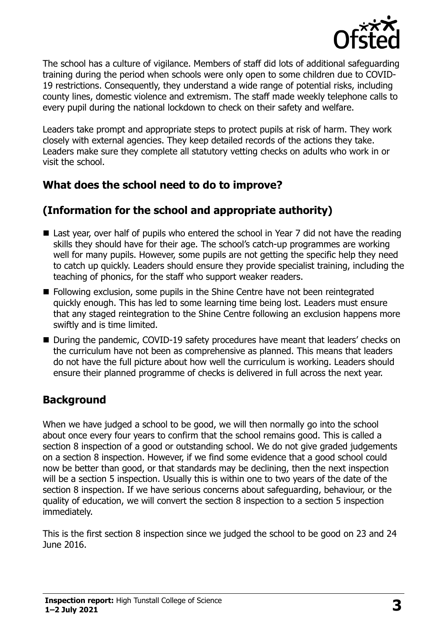

The school has a culture of vigilance. Members of staff did lots of additional safeguarding training during the period when schools were only open to some children due to COVID-19 restrictions. Consequently, they understand a wide range of potential risks, including county lines, domestic violence and extremism. The staff made weekly telephone calls to every pupil during the national lockdown to check on their safety and welfare.

Leaders take prompt and appropriate steps to protect pupils at risk of harm. They work closely with external agencies. They keep detailed records of the actions they take. Leaders make sure they complete all statutory vetting checks on adults who work in or visit the school.

# **What does the school need to do to improve?**

# **(Information for the school and appropriate authority)**

- Last year, over half of pupils who entered the school in Year 7 did not have the reading skills they should have for their age. The school's catch-up programmes are working well for many pupils. However, some pupils are not getting the specific help they need to catch up quickly. Leaders should ensure they provide specialist training, including the teaching of phonics, for the staff who support weaker readers.
- **Following exclusion, some pupils in the Shine Centre have not been reintegrated** quickly enough. This has led to some learning time being lost. Leaders must ensure that any staged reintegration to the Shine Centre following an exclusion happens more swiftly and is time limited.
- During the pandemic, COVID-19 safety procedures have meant that leaders' checks on the curriculum have not been as comprehensive as planned. This means that leaders do not have the full picture about how well the curriculum is working. Leaders should ensure their planned programme of checks is delivered in full across the next year.

# **Background**

When we have judged a school to be good, we will then normally go into the school about once every four years to confirm that the school remains good. This is called a section 8 inspection of a good or outstanding school. We do not give graded judgements on a section 8 inspection. However, if we find some evidence that a good school could now be better than good, or that standards may be declining, then the next inspection will be a section 5 inspection. Usually this is within one to two years of the date of the section 8 inspection. If we have serious concerns about safeguarding, behaviour, or the quality of education, we will convert the section 8 inspection to a section 5 inspection immediately.

This is the first section 8 inspection since we judged the school to be good on 23 and 24 June 2016.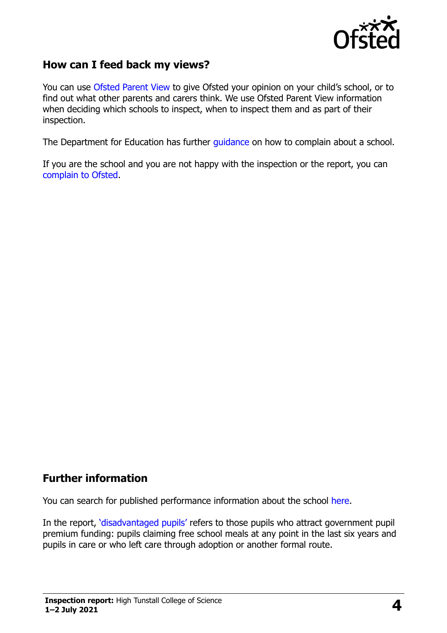

#### **How can I feed back my views?**

You can use [Ofsted Parent View](https://parentview.ofsted.gov.uk/) to give Ofsted your opinion on your child's school, or to find out what other parents and carers think. We use Ofsted Parent View information when deciding which schools to inspect, when to inspect them and as part of their inspection.

The Department for Education has further [guidance](http://www.gov.uk/complain-about-school) on how to complain about a school.

If you are the school and you are not happy with the inspection or the report, you can [complain to Ofsted.](https://www.gov.uk/complain-ofsted-report)

#### **Further information**

You can search for published performance information about the school [here.](http://www.compare-school-performance.service.gov.uk/)

In the report, '[disadvantaged pupils](http://www.gov.uk/guidance/pupil-premium-information-for-schools-and-alternative-provision-settings)' refers to those pupils who attract government pupil premium funding: pupils claiming free school meals at any point in the last six years and pupils in care or who left care through adoption or another formal route.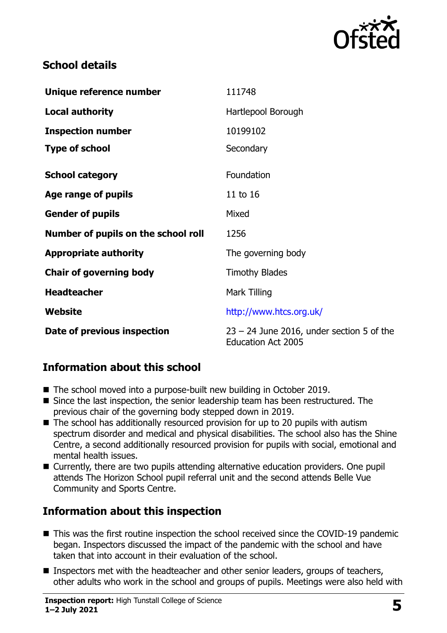

#### **School details**

| Unique reference number             | 111748                                                                   |
|-------------------------------------|--------------------------------------------------------------------------|
| <b>Local authority</b>              | Hartlepool Borough                                                       |
| <b>Inspection number</b>            | 10199102                                                                 |
| <b>Type of school</b>               | Secondary                                                                |
| <b>School category</b>              | Foundation                                                               |
| Age range of pupils                 | 11 to 16                                                                 |
| <b>Gender of pupils</b>             | Mixed                                                                    |
| Number of pupils on the school roll | 1256                                                                     |
| <b>Appropriate authority</b>        | The governing body                                                       |
| <b>Chair of governing body</b>      | <b>Timothy Blades</b>                                                    |
| <b>Headteacher</b>                  | Mark Tilling                                                             |
| Website                             | http://www.htcs.org.uk/                                                  |
| Date of previous inspection         | $23 - 24$ June 2016, under section 5 of the<br><b>Education Act 2005</b> |

# **Information about this school**

- The school moved into a purpose-built new building in October 2019.
- Since the last inspection, the senior leadership team has been restructured. The previous chair of the governing body stepped down in 2019.
- $\blacksquare$  The school has additionally resourced provision for up to 20 pupils with autism spectrum disorder and medical and physical disabilities. The school also has the Shine Centre, a second additionally resourced provision for pupils with social, emotional and mental health issues.
- Currently, there are two pupils attending alternative education providers. One pupil attends The Horizon School pupil referral unit and the second attends Belle Vue Community and Sports Centre.

# **Information about this inspection**

- This was the first routine inspection the school received since the COVID-19 pandemic began. Inspectors discussed the impact of the pandemic with the school and have taken that into account in their evaluation of the school.
- Inspectors met with the headteacher and other senior leaders, groups of teachers, other adults who work in the school and groups of pupils. Meetings were also held with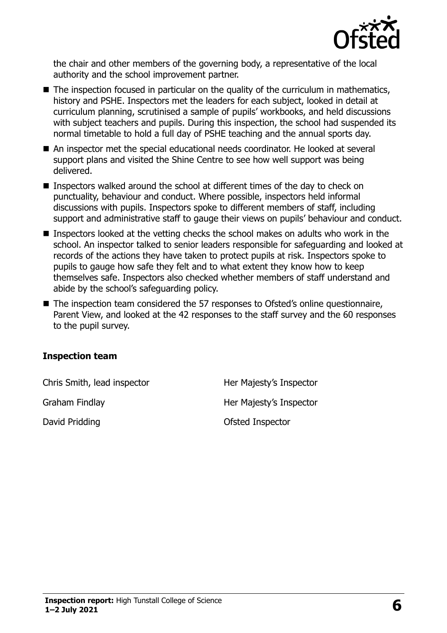

the chair and other members of the governing body, a representative of the local authority and the school improvement partner.

- The inspection focused in particular on the quality of the curriculum in mathematics, history and PSHE. Inspectors met the leaders for each subject, looked in detail at curriculum planning, scrutinised a sample of pupils' workbooks, and held discussions with subject teachers and pupils. During this inspection, the school had suspended its normal timetable to hold a full day of PSHE teaching and the annual sports day.
- An inspector met the special educational needs coordinator. He looked at several support plans and visited the Shine Centre to see how well support was being delivered.
- **Inspectors walked around the school at different times of the day to check on** punctuality, behaviour and conduct. Where possible, inspectors held informal discussions with pupils. Inspectors spoke to different members of staff, including support and administrative staff to gauge their views on pupils' behaviour and conduct.
- Inspectors looked at the vetting checks the school makes on adults who work in the school. An inspector talked to senior leaders responsible for safeguarding and looked at records of the actions they have taken to protect pupils at risk. Inspectors spoke to pupils to gauge how safe they felt and to what extent they know how to keep themselves safe. Inspectors also checked whether members of staff understand and abide by the school's safeguarding policy.
- The inspection team considered the 57 responses to Ofsted's online questionnaire, Parent View, and looked at the 42 responses to the staff survey and the 60 responses to the pupil survey.

#### **Inspection team**

Chris Smith, lead inspector **Her Majesty's Inspector** Graham Findlay **Her Majesty's Inspector** David Pridding **David Pridding COLLECT IN** Ofsted Inspector